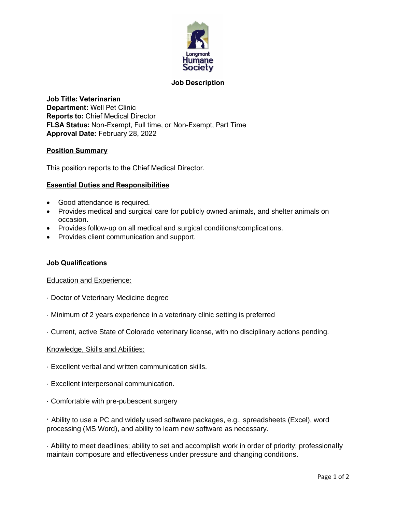

# **Job Description**

**Job Title: Veterinarian Department:** Well Pet Clinic **Reports to:** Chief Medical Director **FLSA Status:** Non-Exempt, Full time, or Non-Exempt, Part Time **Approval Date:** February 28, 2022

### **Position Summary**

This position reports to the Chief Medical Director.

### **Essential Duties and Responsibilities**

- Good attendance is required.
- Provides medical and surgical care for publicly owned animals, and shelter animals on occasion.
- Provides follow-up on all medical and surgical conditions/complications.
- Provides client communication and support.

### **Job Qualifications**

### Education and Experience:

- · Doctor of Veterinary Medicine degree
- · Minimum of 2 years experience in a veterinary clinic setting is preferred
- · Current, active State of Colorado veterinary license, with no disciplinary actions pending.

### Knowledge, Skills and Abilities:

- · Excellent verbal and written communication skills.
- · Excellent interpersonal communication.
- · Comfortable with pre-pubescent surgery

· Ability to use a PC and widely used software packages, e.g., spreadsheets (Excel), word processing (MS Word), and ability to learn new software as necessary.

· Ability to meet deadlines; ability to set and accomplish work in order of priority; professionally maintain composure and effectiveness under pressure and changing conditions.